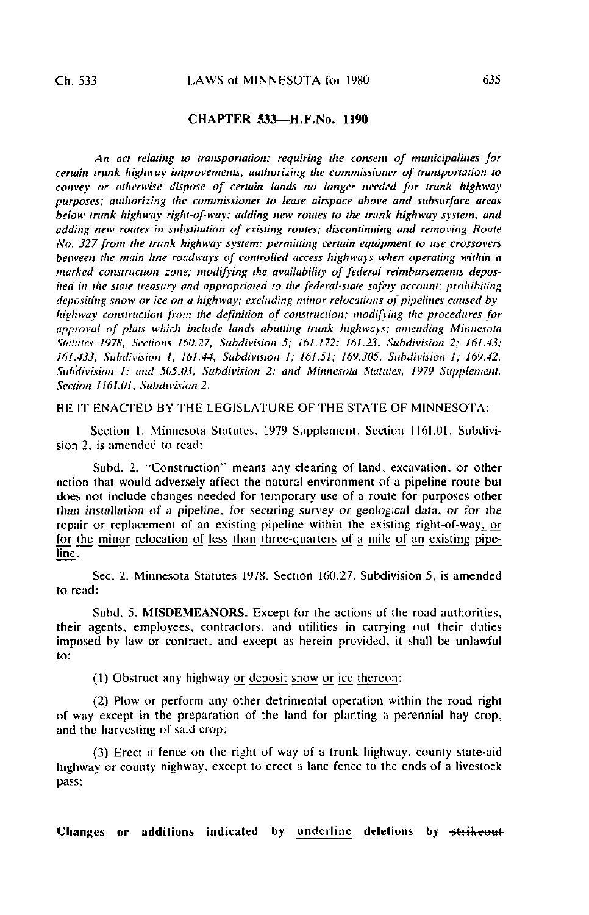## CHAPTER 533— H.F.No. 1190

An act relating to transportation; requiring the consent of municipalities for certain trunk highway improvements; authorizing the commissioner of transportation to convey or otherwise dispose of certain lands no longer needed for trunk highway purposes; authorizing the commissioner to tease airspace above and subsurface areas below trunk highway right-of-way; adding new routes to the trunk highway system, and adding new routes in substitution of existing routes; discontinuing and removing Route No. 327 from the trunk highway system; permitting certain equipment to use crossovers between the main line roadways of controlled access highways when operating within a marked construction zone; modifying the availability of federal reimbursements deposited in the state treasury and appropriated to the federal-state safely account; prohibiting depositing snow or ice on a highway; excluding minor relocations of pipelines caused by highway construction from the definition of construction; modifying the procedures for approval of plats which include lands abutting trunk highways; amending Minnesota Statutes 1978, Sections 160.27, Subdivision 5; 161.172; 161.23, Subdivision 2; 161.43; 161.433, Subdivision I; 161.44, Subdivision 1; 161.51; 169.305, Subdivision 1; 169.42, Subdivision I; and 505.03, Subdivision 2; and Minnesota Statutes, 1979 Supplement, Section 1161.01, Subdivision 2.

BE IT ENACTED BY THE LEGISLATURE OF THE STATE OF MINNESOTA:

Section 1. Minnesota Statutes, 1979 Supplement, Section 1161.01, Subdivision 2. is amended to read:

Suhd. 2. "Construction" means any clearing of land, excavation, or other action that would adversely affect the natural environment of a pipeline route but does not include changes needed for temporary use of a route for purposes other than installation of a pipeline, for securing survey or geological data, or for the repair or replacement of an existing pipeline within the existing right-of-way^ or for the minor relocation of less than three-quarters of a mile of an existing pipeline.

Sec. 2. Minnesota Statutes 1978. Section 160.27. Subdivision 5, is amended to read:

Subd. 5. MISDEMEANORS. Except for the actions of the road authorities, their agents, employees, contractors, and utilities in carrying out their duties imposed by law or contract, and except as herein provided, it shall be unlawful to:

(1) Obstruct any highway or deposit snow or ice thereon;

(2) Plow or perform any other detrimental operation within the road right of way except in the preparation of the land for planting a perennial hay crop, and the harvesting of said crop;

(3) Erect a fence on the right of way of a trunk highway, county state-aid highway or county highway, except to erect a lane fence to the ends of a livestock pass;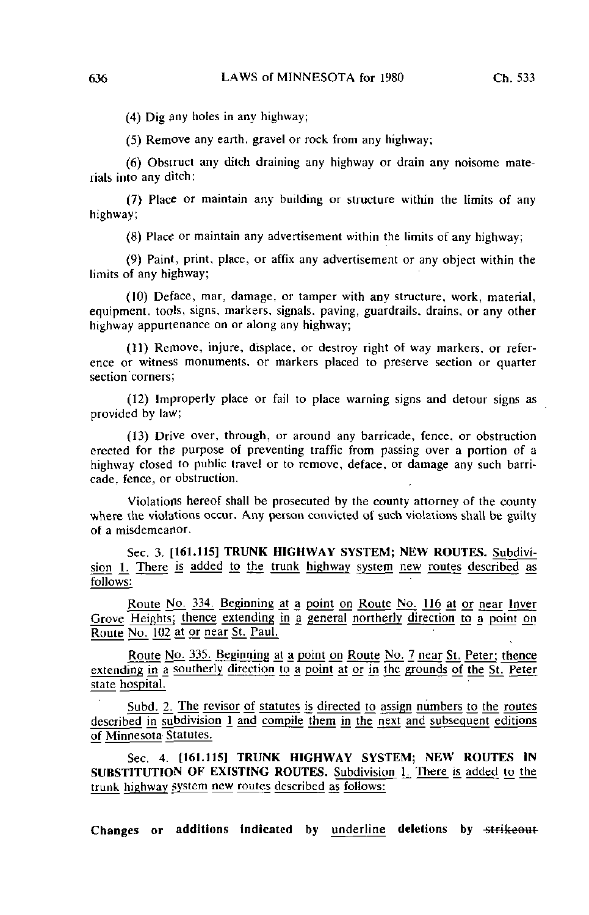(4) Dig any holes in any highway;

(5) Remove any earth, gravel or rock from any highway;

(6) Obstruct any ditch draining any highway or drain any noisome materials into any ditch:

(7) Place or maintain any building or structure within the limits of any highway;

(8) Place or maintain any advertisement within the limits of any highway;

(9) Paint, print, place, or affix any advertisement or any object within the limits of any highway;

(10) Deface, mar, damage, or tamper with any structure, work, material, equipment, tools, signs, markers, signals, paving, guardrails, drains, or any other highway appurtenance on or along any highway;

(11) Remove, injure, displace, or destroy right of way markers, or reference or witness monuments, or markers placed to preserve section or quarter section corners;

(12) Improperly place or fail to place warning signs and detour signs as provided by law;

(13) Drive over, through, or around any barricade, fence, or obstruction erected for the purpose of preventing traffic from passing over a portion of a highway closed to public travel or to remove, deface, or damage any such barricade, fence, or obstruction.

Violations hereof shall be prosecuted by the county attorney of the county where the violations occur. Any person convicted of such violations shall be guilty of a misdemearior.

Sec. 3. [161.115] TRUNK HIGHWAY SYSTEM; NEW ROUTES. Subdivision 1. There is added to the trunk highway system new routes described as follows;

Route No. 334. Beginning at a point on Route No. 116 at or near Inver Grove Heights; thence extending in a general northerly direction to a point on Route No. 102 at or near St. Paul.

Route No. 335. Beginning at a point on Route No. 7 near St. Peter; thence extending in a southerly direction to a point at or in the grounds of the St. Peter state hospital.

Subd. 2. The revisor of statutes is directed to assign numbers to the routes described in subdivision  $1$  and compile them in the next and subsequent editions of Minnesota Statutes.

Sec. 4. [161.115] TRUNK HIGHWAY SYSTEM; NEW ROUTES IN SUBSTITUTION OF EXISTING ROUTES. Subdivision 1. There is added to the trunk highway system new routes described as follows: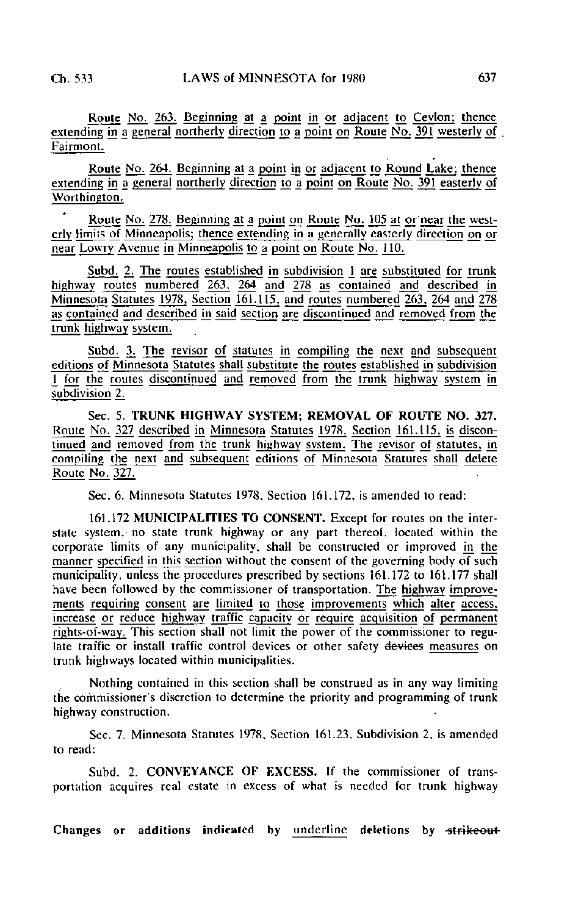Route No. 263. Beginning at a point in or adjacent to Ceylon; thence extending in a general northerly direction to a point on Route No.  $\overline{391}$  westerly of Fairmont.

Route No. 264. Beginning at a point in or adjacent to Round Lake; thence extending in a general northerly direction 10 a point on Route No. 391 easterly of Worthington.

Route No. 278. Beginning at a point on Route No. 105 at or near the westerly limits of Minneapolis; thence extending in a generally easterly direction on or near Lowry Avenue in Minneapolis to a point on Route No. 110.

Subd. 2. The routes established in subdivision 1 are substituted for trunk highway routes numbered 263. 264 and 278 as contained and described in Minnesota Statutes 1978, Section 161.115. and routes numbered 263. 264 and 278 as contained and described in said section are discontinued and removed from the trunk highway system.

Subd. 3. The revisor of statutes in compiling the next and subsequent editions of Minnesota Statutes shall substitute the routes established in subdivision 1 for the routes discontinued and removed from the trunk highway system in subdivision 2.

Sec. 5. TRUNK HIGHWAY SYSTEM; REMOVAL OF ROUTE NO. 327. Route No. 327 described in Minnesota Statutes 1978, Section 161.115, is discontinued and removed from the trunk highway system. The revisor of statutes, in compiling the next and subsequent editions of Minnesota Statutes shall delete Route No. 327.

Sec. 6. Minnesota Statutes 1978, Section 161.172. is amended to read:

161.172 MUNICIPALITIES TO CONSENT. Except for routes on the interstate system.- no state trunk highway or any part thereof, located within the corporate limits of any municipality, shall be constructed or improved in the manner specified in this section without the consent of the governing body of such municipality, unless the procedures prescribed by sections 161.172 to 161.177 shall have been followed by the commissioner of transportation. The highway improvements requiring consent are limited to those improvements which alter access, increase or reduce highway traffic capacity or require acquisition of permanent rights-of-way. This section shall not limit the power of the commissioner to regulate traffic or install traffic control devices or other safety devices measures on trunk highways located within municipalities.

Nothing contained in this section shall be construed as in any way limiting the commissioner's discretion to determine the priority and programming of trunk highway construction.

Sec. 7. Minnesota Statutes 1978, Section 161.23. Subdivision 2. is amended to read:

Subd. 2. CONVEYANCE OF EXCESS. If the commissioner of transportation acquires real estate in excess of what is needed for trunk highway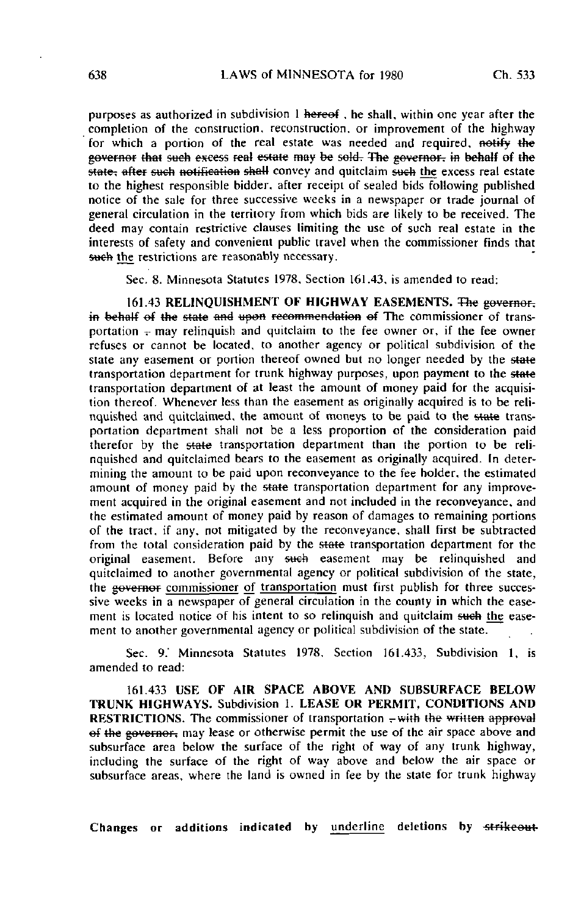purposes as authorized in subdivision 1 hereof , he shall, within one year after the completion of the construction, reconstruction, or improvement of the highway for which a portion of the real estate was needed and required, notify the governor that such excess real estate may be sold. The governor, in behalf of the  $\frac{1}{2}$  state; after such notification shall convey and quitclaim such the excess real estate to the highest responsible bidder, after receipt of sealed bids following published notice of the sale for three successive weeks in a newspaper or trade journal of general circulation in the territory from which bids are likely to be received. The deed may contain restrictive clauses limiting the use of such real estate in the interests of safety and convenient public travel when the commissioner finds that such the restrictions are reasonably necessary.

Sec. 8. Minnesota Statutes 1978, Section 161.43, is amended to read:

161.43 RELINQUISHMENT OF HIGHWAY EASEMENTS. The governor. in behalf of the state and upon recommendation of The commissioner of transportation  $\tau$  may relinquish and quitclaim to the fee owner or, if the fee owner refuses or cannot be located, to another agency or political subdivision of the state any easement or portion thereof owned but no longer needed by the state transportation department for trunk highway purposes, upon payment to the state transportation department of at least the amount of money paid for the acquisition thereof. Whenever less than the easement as originally acquired is to be relinquished and quitclaimed, the amount of moneys to be paid to the state transportation department shall not be a less proportion of the consideration paid therefor by the state transportation department than the portion to be relinquished and quitclaimed bears to the easement as originally acquired. In determining the amount to be paid upon reconveyance to the fee holder, the estimated amount of money paid by the state transportation department for any improvement acquired in the original easement and not included in the reconveyance, and the estimated amount of money paid by reason of damages to remaining portions of the tract, if any, not mitigated by the reconveyance, shall first be subtracted from the total consideration paid by the state transportation department for the original easement. Before any such easement may be relinquished and quitclaimed to another governmental agency or political subdivision of the state, the governor commissioner of transportation must first publish for three successive weeks in a newspaper of general circulation in the county in which the easement is located notice of his intent to so relinquish and quitclaim such the easement to another governmental agency or political subdivision of the state.

Sec. 9.' Minnesota Statutes 1978, Section 161.433, Subdivision 1, is amended to read:

161.433 USE OF AIR SPACE ABOVE AND SUBSURFACE BELOW TRUNK HIGHWAYS. Subdivision 1. LEASE OR PERMIT, CONDITIONS AND **RESTRICTIONS.** The commissioner of transportation  $\frac{1}{k}$  with the written approval of the governor, may lease or otherwise permit the use of the air space above and subsurface area below the surface of the right of way of any trunk highway, including the surface of the right of way above and below the air space or subsurface areas, where the land is owned in fee by the state for trunk highway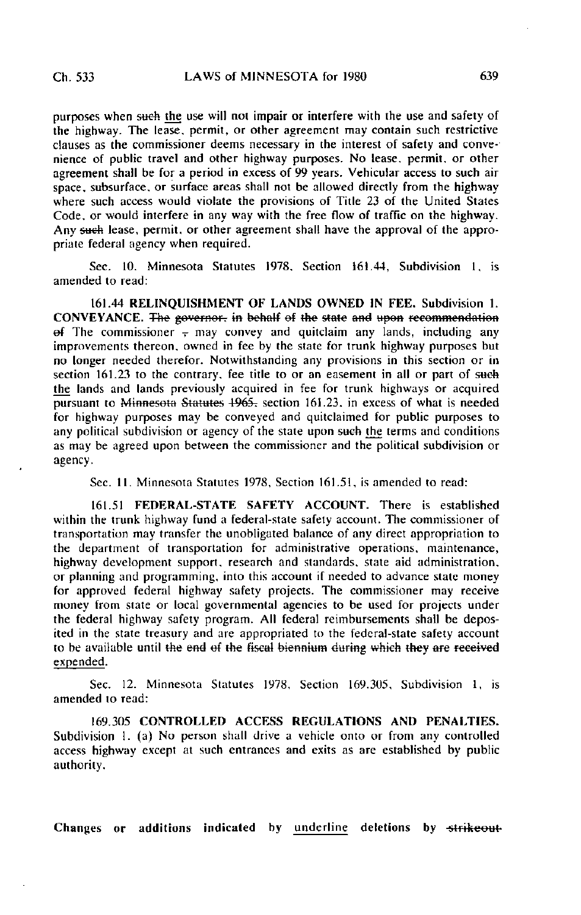purposes when such the use will not impair or interfere with the use and safety of the highway. The lease, permit, or other agreement may contain such restrictive clauses as the commissioner deems necessary in the interest of safety and convenience of public travel and other highway purposes. No lease, permit, or other agreement shall be for a period in excess of 99 years. Vehicular access to such air space, subsurface, or surface areas shall not be allowed directly from the highway where such access would violate the provisions of Title 23 of the United States Code, or would interfere in any way with the free flow of traffic on the highway. Any saeh lease, permit, or other agreement shall have the approval of the appropriate federal agency when required.

Sec. 10. Minnesota Statutes 1978, Section 161.44, Subdivision 1, is amended to read:

161.44 RELINQUISHMENT OF LANDS OWNED IN FEE. Subdivision 1. CONVEYANCE. The governor, in behalf of the state and upon recommendation ef The commissioner  $\frac{1}{x}$  may convey and quitclaim any lands, including any improvemenls thereon, owned in fee by the state for trunk highway purposes but no longer needed therefor. Notwithstanding any provisions in this section or in section  $161.23$  to the contrary, fee title to or an easement in all or part of such the lands and lands previously acquired in fee for trunk highways or acquired pursuant to Minnesota Statutes 1965. section 161.23. in excess of what is needed for highway purposes may be conveyed and quitclaimed for public purposes to any political subdivision or agency of the state upon sueh the terms and conditions as may be agreed upon between the commissioner and the political subdivision or agency.

Sec. 11. Minnesota Statutes 1978, Section 161.51, is amended to read:

161.51 FEDERAL-STATE SAFETY ACCOUNT. There is established within the trunk highway fund a federal-state safety account. The commissioner of transportation may transfer the unobligated balance of any direct appropriation to the department of transportation for administrative operations, maintenance, highway development support, research and standards, state aid administration, or planning and programming, into this account if needed to advance state money for approved federal highway safety projects. The commissioner may receive money from state or local governmental agencies to be used for projects under the federal highway safety program. All federal reimbursements shall be deposited in the state treasury and are appropriated to the federal-state safety account to be available until the end of the fiscal biennium during which they are received expended.

Sec. 12. Minnesota Statutes 1978. Section 169.305, Subdivision 1, is amended to read:

169.305 CONTROLLED ACCESS REGULATIONS AND PENALTIES. Subdivision 1. (a) No person shall drive a vehicle onto or from any controlled access highway except at such entrances and exits as are established by public authority.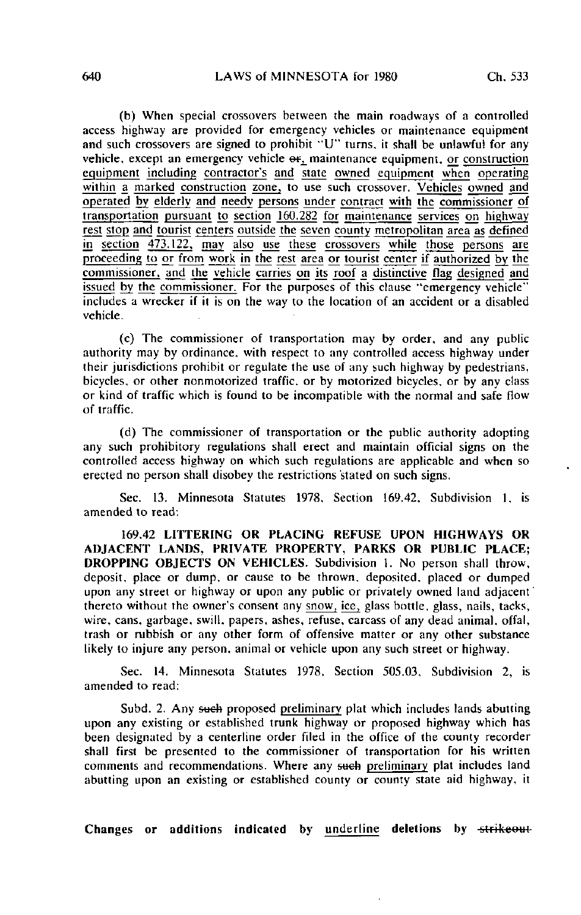(b) When special crossovers between the main roadways of a controlled access highway are provided for emergency vehicles or maintenance equipment and such crossovers are signed to prohibit "U" turns, it shall be unlawful for any vehicle, except an emergency vehicle  $\Theta$ f, maintenance equipment, or construction equipment including contractor's and state owned equipment when operating within a marked construction zone, to use such crossover. Vehicles owned and operated by elderly and needy persons under contract with the commissioner of transportation pursuant to section 160.282 for maintenance services on highway rest slop and tourist centers outside the seven county metropolitan area as defined in section 473.122, may also use these crossovers while those persons are proceeding to or from work in the rest area or tourist center if authorized by the commissioner, and the vehicle carries on jts roof a distinctive flag designed and issued by the commissioner. For the purposes of this clause "emergency vehicle" includes a wrecker if it is on the way to the location of an accident or a disabled vehicle.

(c) The commissioner of transportation may by order, and any public authority may by ordinance, with respect to any controlled access highway under their jurisdictions prohibit or regulate the use of any such highway by pedestrians, bicycles, or other nonmotorized traffic, or by motorized bicycles, or by any class or kind of traffic which is found to be incompatible with the normal and safe flow of traffic.

(d) The commissioner of transportation or the public authority adopting any such prohibitory regulations shall erect and maintain official signs on the controlled access highway on which such regulations are applicable and when so erected no person shall disobey the restrictions stated on such signs.

Sec. 13. Minnesota Statutes 1978, Section 169.42. Subdivision 1. is amended to read:

169.42 LITTERING OR PLACING REFUSE UPON HIGHWAYS OR ADJACENT LANDS, PRIVATE PROPERTY, PARKS OR PUBLIC PLACE; DROPPING OBJECTS ON VEHICLES. Subdivision 1. No person shall throw, deposit, place or dump, or cause to be thrown, deposited, placed or dumped upon any street or highway or upon any public or privately owned land adjacent thereto without the owner's consent any snow, ice, glass bottle, glass, nails, tacks, wire, cans, garbage, swill, papers, ashes, refuse, carcass of any dead animal, offal, trash or rubbish or any other form of offensive matter or any other substance likely to injure any person, animal or vehicle upon any such street or highway.

Sec. 14. Minnesota Statutes 1978, Section 505.03, Subdivision 2, is amended to read:

Subd. 2. Any such proposed preliminary plat which includes lands abutting upon any existing or established trunk highway or proposed highway which has been designated by a centerline order filed in the office of the county recorder shall first be presented to the commissioner of transportation for his written comments and recommendations. Where any such preliminary plat includes land abutting upon an existing or established county or county state aid highway, it